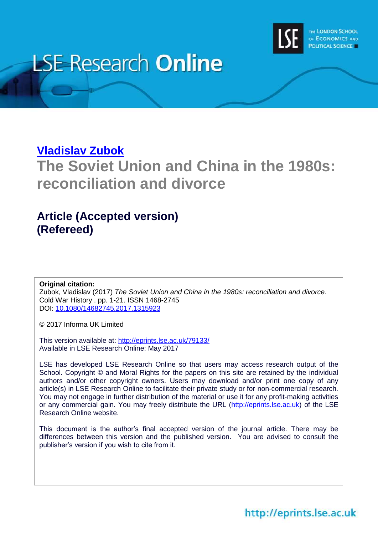

# **LSE Research Online**

# **[Vladislav Zubok](http://www.lse.ac.uk/researchAndExpertise/Experts/profile.aspx?KeyValue=v.m.zubok@lse.ac.uk)**

**The Soviet Union and China in the 1980s: reconciliation and divorce**

# **Article (Accepted version) (Refereed)**

### **Original citation:**

Zubok, Vladislav (2017) *The Soviet Union and China in the 1980s: reconciliation and divorce*. Cold War History . pp. 1-21. ISSN 1468-2745 DOI: [10.1080/14682745.2017.1315923](http://dx.doi.org/10.1080/14682745.2017.1315923)

© 2017 Informa UK Limited

This version available at:<http://eprints.lse.ac.uk/79133/> Available in LSE Research Online: May 2017

LSE has developed LSE Research Online so that users may access research output of the School. Copyright © and Moral Rights for the papers on this site are retained by the individual authors and/or other copyright owners. Users may download and/or print one copy of any article(s) in LSE Research Online to facilitate their private study or for non-commercial research. You may not engage in further distribution of the material or use it for any profit-making activities or any commercial gain. You may freely distribute the URL (http://eprints.lse.ac.uk) of the LSE Research Online website.

This document is the author's final accepted version of the journal article. There may be differences between this version and the published version. You are advised to consult the publisher's version if you wish to cite from it.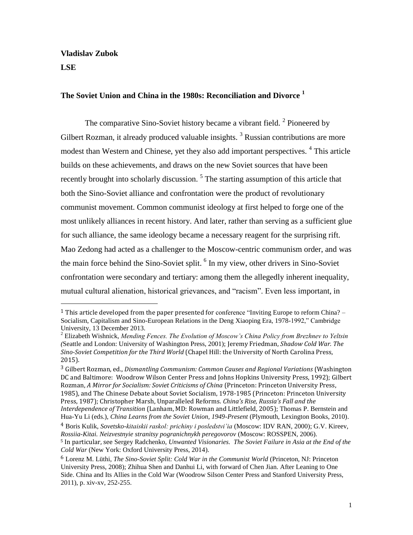**Vladislav Zubok LSE**

 $\overline{a}$ 

## **The Soviet Union and China in the 1980s: Reconciliation and Divorce <sup>1</sup>**

The comparative Sino-Soviet history became a vibrant field.<sup>2</sup> Pioneered by Gilbert Rozman, it already produced valuable insights.<sup>3</sup> Russian contributions are more modest than Western and Chinese, yet they also add important perspectives. <sup>4</sup> This article builds on these achievements, and draws on the new Soviet sources that have been recently brought into scholarly discussion. <sup>5</sup> The starting assumption of this article that both the Sino-Soviet alliance and confrontation were the product of revolutionary communist movement. Common communist ideology at first helped to forge one of the most unlikely alliances in recent history. And later, rather than serving as a sufficient glue for such alliance, the same ideology became a necessary reagent for the surprising rift. Mao Zedong had acted as a challenger to the Moscow-centric communism order, and was the main force behind the Sino-Soviet split. <sup>6</sup> In my view, other drivers in Sino-Soviet confrontation were secondary and tertiary: among them the allegedly inherent inequality, mutual cultural alienation, historical grievances, and "racism". Even less important, in

<sup>&</sup>lt;sup>1</sup> This article developed from the paper presented for conference "Inviting Europe to reform China?  $-$ Socialism, Capitalism and Sino-European Relations in the Deng Xiaoping Era, 1978-1992," Cambridge University, 13 December 2013.

<sup>2</sup> Elizabeth Wishnick, *Mending Fences. The Evolution of Moscow's China Policy from Brezhnev to Yeltsin (*Seattle and London: University of Washington Press, 2001); Jeremy Friedman, *Shadow Cold War. The Sino-Soviet Competition for the Third World* (Chapel Hill: the University of North Carolina Press, 2015).

<sup>3</sup> Gilbert Rozman, ed., *Dismantling Communism: Common Causes and Regional Variations* (Washington DC and Baltimore: Woodrow Wilson Center Press and Johns Hopkins University Press, 1992); Gilbert Rozman, *A Mirror for Socialism: Soviet Criticisms of China* (Princeton: Princeton University Press, 1985), and The Chinese Debate about Soviet Socialism, 1978-1985 (Princeton: Princeton University Press, 1987); Christopher Marsh, Unparalleled Reforms. *China's Rise, Russia's Fall and the Interdependence of Transition* (Lanham, MD: Rowman and Littlefield, 2005); Thomas P. Bernstein and Hua-Yu Li (eds.), *China Learns from the Soviet Union, 1949-Present* (Plymouth, Lexington Books, 2010).

<sup>4</sup> Boris Kulik, *Sovetsko-kitaiskii raskol: prichiny i posledstvi'ia* (Moscow: IDV RAN, 2000); G.V. Kireev, *Rossiia-Kitai. Neizvestnyie stranitsy pogranichnykh peregovorov* (Moscow: ROSSPEN, 2006).

<sup>5</sup> In particular, see Sergey Radchenko, *Unwanted Visionaries. The Soviet Failure in Asia at the End of the Cold War* (New York: Oxford University Press, 2014).

<sup>6</sup> Lorenz M. Lüthi, *The Sino-Soviet Split: Cold War in the Communist World* (Princeton, NJ: Princeton University Press, 2008); Zhihua Shen and Danhui Li, with forward of Chen Jian. After Leaning to One Side. China and Its Allies in the Cold War (Woodrow Silson Center Press and Stanford University Press, 2011), p. xiv-xv, 252-255.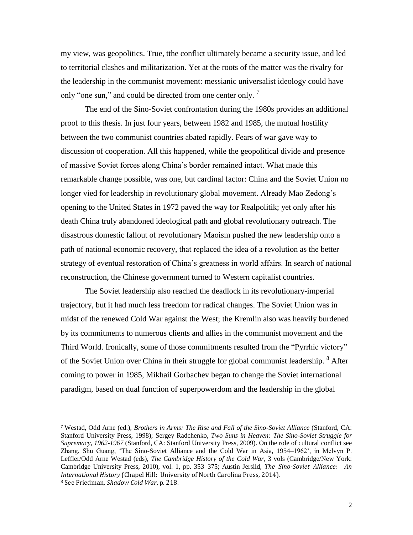my view, was geopolitics. True, tthe conflict ultimately became a security issue, and led to territorial clashes and militarization. Yet at the roots of the matter was the rivalry for the leadership in the communist movement: messianic universalist ideology could have only "one sun," and could be directed from one center only.<sup>7</sup>

The end of the Sino-Soviet confrontation during the 1980s provides an additional proof to this thesis. In just four years, between 1982 and 1985, the mutual hostility between the two communist countries abated rapidly. Fears of war gave way to discussion of cooperation. All this happened, while the geopolitical divide and presence of massive Soviet forces along China's border remained intact. What made this remarkable change possible, was one, but cardinal factor: China and the Soviet Union no longer vied for leadership in revolutionary global movement. Already Mao Zedong's opening to the United States in 1972 paved the way for Realpolitik; yet only after his death China truly abandoned ideological path and global revolutionary outreach. The disastrous domestic fallout of revolutionary Maoism pushed the new leadership onto a path of national economic recovery, that replaced the idea of a revolution as the better strategy of eventual restoration of China's greatness in world affairs. In search of national reconstruction, the Chinese government turned to Western capitalist countries.

The Soviet leadership also reached the deadlock in its revolutionary-imperial trajectory, but it had much less freedom for radical changes. The Soviet Union was in midst of the renewed Cold War against the West; the Kremlin also was heavily burdened by its commitments to numerous clients and allies in the communist movement and the Third World. Ironically, some of those commitments resulted from the "Pyrrhic victory" of the Soviet Union over China in their struggle for global communist leadership. <sup>8</sup> After coming to power in 1985, Mikhail Gorbachev began to change the Soviet international paradigm, based on dual function of superpowerdom and the leadership in the global

<sup>7</sup> Westad, Odd Arne (ed.), *Brothers in Arms: The Rise and Fall of the Sino-Soviet Alliance* (Stanford, CA: Stanford University Press, 1998); Sergey Radchenko, *Two Suns in Heaven: The Sino-Soviet Struggle for Supremacy, 1962-1967* (Stanford, CA: Stanford University Press, 2009). On the role of cultural conflict see Zhang, Shu Guang, 'The Sino-Soviet Alliance and the Cold War in Asia, 1954–1962', in Melvyn P. Leffler/Odd Arne Westad (eds), *The Cambridge History of the Cold War*, 3 vols (Cambridge/New York: Cambridge University Press, 2010), vol. 1, pp. 353–375; Austin Jersild, *The Sino-Soviet Alliance: An International History* (Chapel Hill: University of North Carolina Press, 2014). <sup>8</sup> See Friedman, *Shadow Cold War*, p. 218.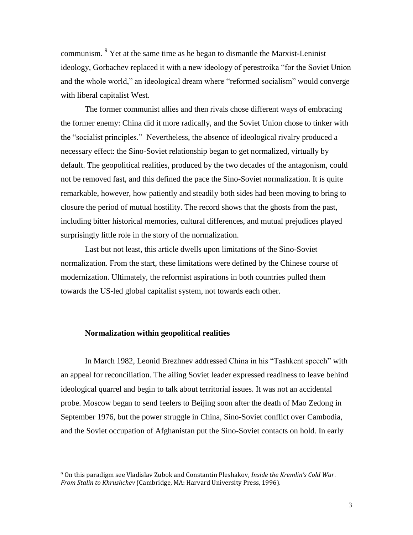communism.  $9$  Yet at the same time as he began to dismantle the Marxist-Leninist ideology, Gorbachev replaced it with a new ideology of perestroika "for the Soviet Union and the whole world," an ideological dream where "reformed socialism" would converge with liberal capitalist West.

The former communist allies and then rivals chose different ways of embracing the former enemy: China did it more radically, and the Soviet Union chose to tinker with the "socialist principles." Nevertheless, the absence of ideological rivalry produced a necessary effect: the Sino-Soviet relationship began to get normalized, virtually by default. The geopolitical realities, produced by the two decades of the antagonism, could not be removed fast, and this defined the pace the Sino-Soviet normalization. It is quite remarkable, however, how patiently and steadily both sides had been moving to bring to closure the period of mutual hostility. The record shows that the ghosts from the past, including bitter historical memories, cultural differences, and mutual prejudices played surprisingly little role in the story of the normalization.

Last but not least, this article dwells upon limitations of the Sino-Soviet normalization. From the start, these limitations were defined by the Chinese course of modernization. Ultimately, the reformist aspirations in both countries pulled them towards the US-led global capitalist system, not towards each other.

#### **Normalization within geopolitical realities**

 $\overline{a}$ 

In March 1982, Leonid Brezhnev addressed China in his "Tashkent speech" with an appeal for reconciliation. The ailing Soviet leader expressed readiness to leave behind ideological quarrel and begin to talk about territorial issues. It was not an accidental probe. Moscow began to send feelers to Beijing soon after the death of Mao Zedong in September 1976, but the power struggle in China, Sino-Soviet conflict over Cambodia, and the Soviet occupation of Afghanistan put the Sino-Soviet contacts on hold. In early

<sup>9</sup> On this paradigm see Vladislav Zubok and Constantin Pleshakov, *Inside the Kremlin's Cold War*. *From Stalin to Khrushchev* (Cambridge, MA: Harvard University Press, 1996).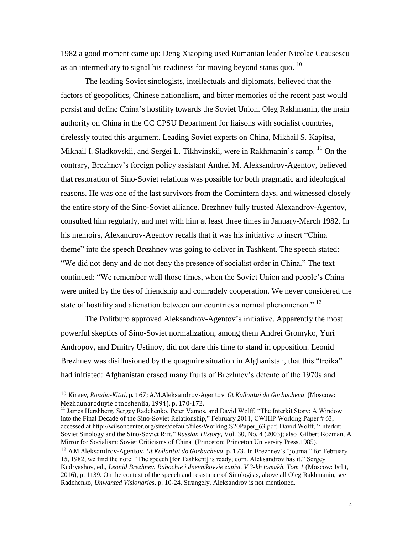1982 a good moment came up: Deng Xiaoping used Rumanian leader Nicolae Ceausescu as an intermediary to signal his readiness for moving beyond status quo.  $^{10}$ 

The leading Soviet sinologists, intellectuals and diplomats, believed that the factors of geopolitics, Chinese nationalism, and bitter memories of the recent past would persist and define China's hostility towards the Soviet Union. Oleg Rakhmanin, the main authority on China in the CC CPSU Department for liaisons with socialist countries, tirelessly touted this argument. Leading Soviet experts on China, Mikhail S. Kapitsa, Mikhail I. Sladkovskii, and Sergei L. Tikhvinskii, were in Rakhmanin's camp. <sup>11</sup> On the contrary, Brezhnev's foreign policy assistant Andrei M. Aleksandrov-Agentov, believed that restoration of Sino-Soviet relations was possible for both pragmatic and ideological reasons. He was one of the last survivors from the Comintern days, and witnessed closely the entire story of the Sino-Soviet alliance. Brezhnev fully trusted Alexandrov-Agentov, consulted him regularly, and met with him at least three times in January-March 1982. In his memoirs, Alexandrov-Agentov recalls that it was his initiative to insert "China theme" into the speech Brezhnev was going to deliver in Tashkent. The speech stated: "We did not deny and do not deny the presence of socialist order in China." The text continued: "We remember well those times, when the Soviet Union and people's China were united by the ties of friendship and comradely cooperation. We never considered the state of hostility and alienation between our countries a normal phenomenon."<sup>12</sup>

The Politburo approved Aleksandrov-Agentov's initiative. Apparently the most powerful skeptics of Sino-Soviet normalization, among them Andrei Gromyko, Yuri Andropov, and Dmitry Ustinov, did not dare this time to stand in opposition. Leonid Brezhnev was disillusioned by the quagmire situation in Afghanistan, that this "troika" had initiated: Afghanistan erased many fruits of Brezhnev's détente of the 1970s and

l

<sup>11</sup> James Hershberg, Sergey Radchenko, Peter Vamos, and David Wolff, "The Interkit Story: A Window into the Final Decade of the Sino-Soviet Relationship," February 2011, CWHIP Working Paper # 63, accessed at http://wilsoncenter.org/sites/default/files/Working%20Paper\_63.pdf; David Wolff, "Interkit: Soviet Sinology and the Sino-Soviet Rift," *Russian History*, Vol. 30, No. 4 (2003); also Gilbert Rozman, A Mirror for Socialism: Soviet Criticisms of China (Princeton: Princeton University Press,1985).

<sup>10</sup> Kireev, *Rossiia-Kitai*, p. 167; A.M.Aleksandrov-Agentov. *Ot Kollontai do Gorbacheva*. (Moscow: Mezhdunarodnyie otnosheniia, 1994), p. 170-172.

<sup>12</sup> A.M.Aleksandrov-Agentov. *Ot Kollontai do Gorbacheva*, p. 173. In Brezhnev's "journal" for February 15, 1982, we find the note: "The speech [for Tashkent] is ready; com. Aleksandrov has it." Sergey Kudryashov, ed., *Leonid Brezhnev. Rabochie i dnevnikovyie zapisi. V 3-kh tomakh. Tom 1* (Moscow: Istlit, 2016), p. 1139. On the context of the speech and resistance of Sinologists, above all Oleg Rakhmanin, see Radchenko, *Unwanted Visionaries*, p. 10-24. Strangely, Aleksandrov is not mentioned.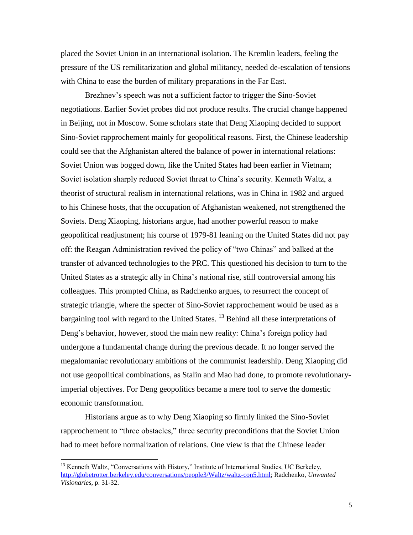placed the Soviet Union in an international isolation. The Kremlin leaders, feeling the pressure of the US remilitarization and global militancy, needed de-escalation of tensions with China to ease the burden of military preparations in the Far East.

Brezhnev's speech was not a sufficient factor to trigger the Sino-Soviet negotiations. Earlier Soviet probes did not produce results. The crucial change happened in Beijing, not in Moscow. Some scholars state that Deng Xiaoping decided to support Sino-Soviet rapprochement mainly for geopolitical reasons. First, the Chinese leadership could see that the Afghanistan altered the balance of power in international relations: Soviet Union was bogged down, like the United States had been earlier in Vietnam; Soviet isolation sharply reduced Soviet threat to China's security. Kenneth Waltz, a theorist of structural realism in international relations, was in China in 1982 and argued to his Chinese hosts, that the occupation of Afghanistan weakened, not strengthened the Soviets. Deng Xiaoping, historians argue, had another powerful reason to make geopolitical readjustment; his course of 1979-81 leaning on the United States did not pay off: the Reagan Administration revived the policy of "two Chinas" and balked at the transfer of advanced technologies to the PRC. This questioned his decision to turn to the United States as a strategic ally in China's national rise, still controversial among his colleagues. This prompted China, as Radchenko argues, to resurrect the concept of strategic triangle, where the specter of Sino-Soviet rapprochement would be used as a bargaining tool with regard to the United States.<sup>13</sup> Behind all these interpretations of Deng's behavior, however, stood the main new reality: China's foreign policy had undergone a fundamental change during the previous decade. It no longer served the megalomaniac revolutionary ambitions of the communist leadership. Deng Xiaoping did not use geopolitical combinations, as Stalin and Mao had done, to promote revolutionaryimperial objectives. For Deng geopolitics became a mere tool to serve the domestic economic transformation.

Historians argue as to why Deng Xiaoping so firmly linked the Sino-Soviet rapprochement to "three obstacles," three security preconditions that the Soviet Union had to meet before normalization of relations. One view is that the Chinese leader

<sup>&</sup>lt;sup>13</sup> Kenneth Waltz, "Conversations with History," Institute of International Studies, UC Berkeley, [http://globetrotter.berkeley.edu/conversations/people3/Waltz/waltz-con5.html;](http://globetrotter.berkeley.edu/conversations/people3/Waltz/waltz-con5.html) Radchenko, *Unwanted Visionaries*, p. 31-32.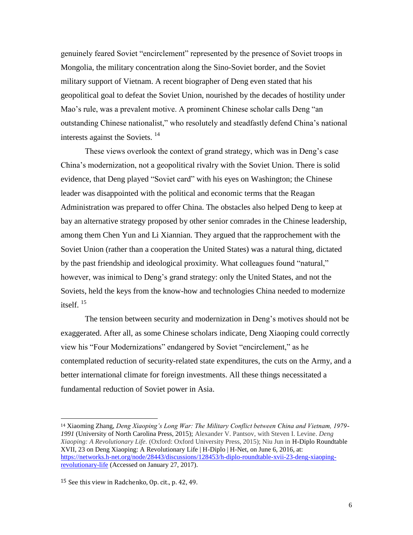genuinely feared Soviet "encirclement" represented by the presence of Soviet troops in Mongolia, the military concentration along the Sino-Soviet border, and the Soviet military support of Vietnam. A recent biographer of Deng even stated that his geopolitical goal to defeat the Soviet Union, nourished by the decades of hostility under Mao's rule, was a prevalent motive. A prominent Chinese scholar calls Deng "an outstanding Chinese nationalist," who resolutely and steadfastly defend China's national interests against the Soviets.  $14$ 

These views overlook the context of grand strategy, which was in Deng's case China's modernization, not a geopolitical rivalry with the Soviet Union. There is solid evidence, that Deng played "Soviet card" with his eyes on Washington; the Chinese leader was disappointed with the political and economic terms that the Reagan Administration was prepared to offer China. The obstacles also helped Deng to keep at bay an alternative strategy proposed by other senior comrades in the Chinese leadership, among them Chen Yun and Li Xiannian. They argued that the rapprochement with the Soviet Union (rather than a cooperation the United States) was a natural thing, dictated by the past friendship and ideological proximity. What colleagues found "natural," however, was inimical to Deng's grand strategy: only the United States, and not the Soviets, held the keys from the know-how and technologies China needed to modernize itself. 15

The tension between security and modernization in Deng's motives should not be exaggerated. After all, as some Chinese scholars indicate, Deng Xiaoping could correctly view his "Four Modernizations" endangered by Soviet "encirclement," as he contemplated reduction of security-related state expenditures, the cuts on the Army, and a better international climate for foreign investments. All these things necessitated a fundamental reduction of Soviet power in Asia.

<sup>14</sup> Xiaoming Zhang, *Deng Xiaoping's Long War: The Military Conflict between China and Vietnam, 1979- 1991* (University of North Carolina Press, 2015); Alexander V. Pantsov, with Steven I. Levine. *Deng Xiaoping: A Revolutionary Life.* (Oxford: Oxford University Press, 2015); Niu Jun in H-Diplo Roundtable XVII, 23 on Deng Xiaoping: A Revolutionary Life | H-Diplo | H-Net, on June 6, 2016, at: [https://networks.h-net.org/node/28443/discussions/128453/h-diplo-roundtable-xvii-23-deng-xiaoping](https://networks.h-net.org/node/28443/discussions/128453/h-diplo-roundtable-xvii-23-deng-xiaoping-revolutionary-life)[revolutionary-life](https://networks.h-net.org/node/28443/discussions/128453/h-diplo-roundtable-xvii-23-deng-xiaoping-revolutionary-life) (Accessed on January 27, 2017).

<sup>15</sup> See this view in Radchenko, Op. cit., p. 42, 49.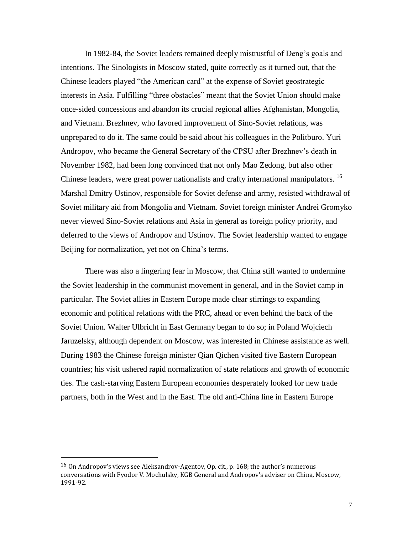In 1982-84, the Soviet leaders remained deeply mistrustful of Deng's goals and intentions. The Sinologists in Moscow stated, quite correctly as it turned out, that the Chinese leaders played "the American card" at the expense of Soviet geostrategic interests in Asia. Fulfilling "three obstacles" meant that the Soviet Union should make once-sided concessions and abandon its crucial regional allies Afghanistan, Mongolia, and Vietnam. Brezhnev, who favored improvement of Sino-Soviet relations, was unprepared to do it. The same could be said about his colleagues in the Politburo. Yuri Andropov, who became the General Secretary of the CPSU after Brezhnev's death in November 1982, had been long convinced that not only Mao Zedong, but also other Chinese leaders, were great power nationalists and crafty international manipulators. <sup>16</sup> Marshal Dmitry Ustinov, responsible for Soviet defense and army, resisted withdrawal of Soviet military aid from Mongolia and Vietnam. Soviet foreign minister Andrei Gromyko never viewed Sino-Soviet relations and Asia in general as foreign policy priority, and deferred to the views of Andropov and Ustinov. The Soviet leadership wanted to engage Beijing for normalization, yet not on China's terms.

There was also a lingering fear in Moscow, that China still wanted to undermine the Soviet leadership in the communist movement in general, and in the Soviet camp in particular. The Soviet allies in Eastern Europe made clear stirrings to expanding economic and political relations with the PRC, ahead or even behind the back of the Soviet Union. Walter Ulbricht in East Germany began to do so; in Poland Wojciech Jaruzelsky, although dependent on Moscow, was interested in Chinese assistance as well. During 1983 the Chinese foreign minister Qian Qichen visited five Eastern European countries; his visit ushered rapid normalization of state relations and growth of economic ties. The cash-starving Eastern European economies desperately looked for new trade partners, both in the West and in the East. The old anti-China line in Eastern Europe

<sup>16</sup> On Andropov's views see Aleksandrov-Agentov, Op. cit., p. 168; the author's numerous conversations with Fyodor V. Mochulsky, KGB General and Andropov's adviser on China, Moscow, 1991-92.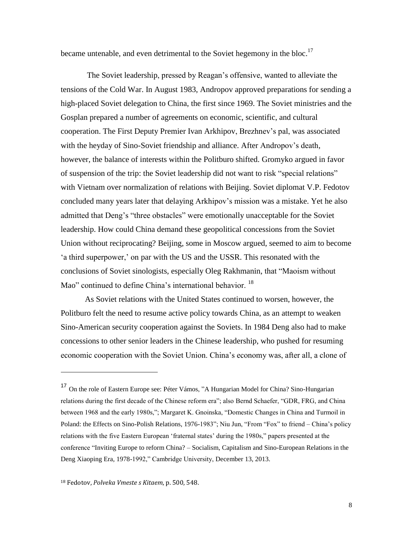became untenable, and even detrimental to the Soviet hegemony in the bloc.<sup>17</sup>

The Soviet leadership, pressed by Reagan's offensive, wanted to alleviate the tensions of the Cold War. In August 1983, Andropov approved preparations for sending a high-placed Soviet delegation to China, the first since 1969. The Soviet ministries and the Gosplan prepared a number of agreements on economic, scientific, and cultural cooperation. The First Deputy Premier Ivan Arkhipov, Brezhnev's pal, was associated with the heyday of Sino-Soviet friendship and alliance. After Andropov's death, however, the balance of interests within the Politburo shifted. Gromyko argued in favor of suspension of the trip: the Soviet leadership did not want to risk "special relations" with Vietnam over normalization of relations with Beijing. Soviet diplomat V.P. Fedotov concluded many years later that delaying Arkhipov's mission was a mistake. Yet he also admitted that Deng's "three obstacles" were emotionally unacceptable for the Soviet leadership. How could China demand these geopolitical concessions from the Soviet Union without reciprocating? Beijing, some in Moscow argued, seemed to aim to become 'a third superpower,' on par with the US and the USSR. This resonated with the conclusions of Soviet sinologists, especially Oleg Rakhmanin, that "Maoism without Mao" continued to define China's international behavior.<sup>18</sup>

As Soviet relations with the United States continued to worsen, however, the Politburo felt the need to resume active policy towards China, as an attempt to weaken Sino-American security cooperation against the Soviets. In 1984 Deng also had to make concessions to other senior leaders in the Chinese leadership, who pushed for resuming economic cooperation with the Soviet Union. China's economy was, after all, a clone of

<sup>17</sup> On the role of Eastern Europe see: Péter Vámos, "A Hungarian Model for China? Sino-Hungarian relations during the first decade of the Chinese reform era"; also Bernd Schaefer, "GDR, FRG, and China between 1968 and the early 1980s,"; Margaret K. Gnoinska, "Domestic Changes in China and Turmoil in Poland: the Effects on Sino-Polish Relations, 1976-1983"; Niu Jun, "From "Fox" to friend – China's policy relations with the five Eastern European 'fraternal states' during the 1980s," papers presented at the conference "Inviting Europe to reform China? – Socialism, Capitalism and Sino-European Relations in the Deng Xiaoping Era, 1978-1992," Cambridge University, December 13, 2013.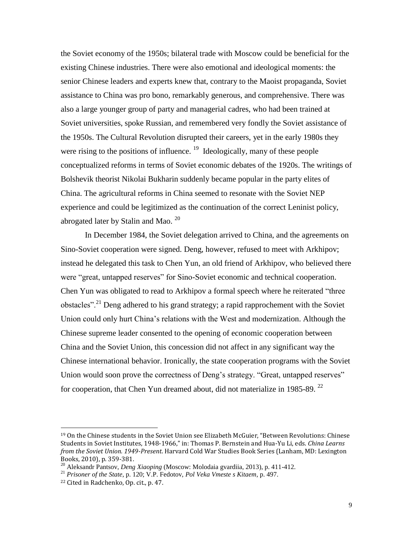the Soviet economy of the 1950s; bilateral trade with Moscow could be beneficial for the existing Chinese industries. There were also emotional and ideological moments: the senior Chinese leaders and experts knew that, contrary to the Maoist propaganda, Soviet assistance to China was pro bono, remarkably generous, and comprehensive. There was also a large younger group of party and managerial cadres, who had been trained at Soviet universities, spoke Russian, and remembered very fondly the Soviet assistance of the 1950s. The Cultural Revolution disrupted their careers, yet in the early 1980s they were rising to the positions of influence.<sup>19</sup> Ideologically, many of these people conceptualized reforms in terms of Soviet economic debates of the 1920s. The writings of Bolshevik theorist Nikolai Bukharin suddenly became popular in the party elites of China. The agricultural reforms in China seemed to resonate with the Soviet NEP experience and could be legitimized as the continuation of the correct Leninist policy, abrogated later by Stalin and Mao.  $^{20}$ 

In December 1984, the Soviet delegation arrived to China, and the agreements on Sino-Soviet cooperation were signed. Deng, however, refused to meet with Arkhipov; instead he delegated this task to Chen Yun, an old friend of Arkhipov, who believed there were "great, untapped reserves" for Sino-Soviet economic and technical cooperation. Chen Yun was obligated to read to Arkhipov a formal speech where he reiterated "three obstacles".<sup>21</sup> Deng adhered to his grand strategy; a rapid rapprochement with the Soviet Union could only hurt China's relations with the West and modernization. Although the Chinese supreme leader consented to the opening of economic cooperation between China and the Soviet Union, this concession did not affect in any significant way the Chinese international behavior. Ironically, the state cooperation programs with the Soviet Union would soon prove the correctness of Deng's strategy. "Great, untapped reserves" for cooperation, that Chen Yun dreamed about, did not materialize in 1985-89.<sup>22</sup>

<sup>19</sup> On the Chinese students in the Soviet Union see Elizabeth McGuier, "Between Revolutions: Chinese Students in Soviet Institutes, 1948-1966," in: Thomas P. Bernstein and Hua-Yu Li, eds. *China Learns from the Soviet Union. 1949-Present*. Harvard Cold War Studies Book Series (Lanham, MD: Lexington Books, 2010), p. 359-381.

<sup>20</sup> Aleksandr Pantsov, *Deng Xiaoping* (Moscow: Molodaia gvardiia, 2013), p. 411-412.

<sup>21</sup> *Prisoner of the State*, p. 120; V.P. Fedotov, *Pol Veka Vmeste s Kitaem*, p. 497.

<sup>22</sup> Cited in Radchenko, Op. cit., p. 47.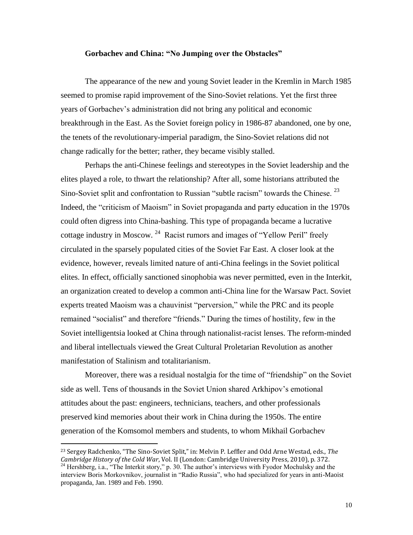#### **Gorbachev and China: "No Jumping over the Obstacles"**

The appearance of the new and young Soviet leader in the Kremlin in March 1985 seemed to promise rapid improvement of the Sino-Soviet relations. Yet the first three years of Gorbachev's administration did not bring any political and economic breakthrough in the East. As the Soviet foreign policy in 1986-87 abandoned, one by one, the tenets of the revolutionary-imperial paradigm, the Sino-Soviet relations did not change radically for the better; rather, they became visibly stalled.

Perhaps the anti-Chinese feelings and stereotypes in the Soviet leadership and the elites played a role, to thwart the relationship? After all, some historians attributed the Sino-Soviet split and confrontation to Russian "subtle racism" towards the Chinese.<sup>23</sup> Indeed, the "criticism of Maoism" in Soviet propaganda and party education in the 1970s could often digress into China-bashing. This type of propaganda became a lucrative cottage industry in Moscow.  $^{24}$  Racist rumors and images of "Yellow Peril" freely circulated in the sparsely populated cities of the Soviet Far East. A closer look at the evidence, however, reveals limited nature of anti-China feelings in the Soviet political elites. In effect, officially sanctioned sinophobia was never permitted, even in the Interkit, an organization created to develop a common anti-China line for the Warsaw Pact. Soviet experts treated Maoism was a chauvinist "perversion," while the PRC and its people remained "socialist" and therefore "friends." During the times of hostility, few in the Soviet intelligentsia looked at China through nationalist-racist lenses. The reform-minded and liberal intellectuals viewed the Great Cultural Proletarian Revolution as another manifestation of Stalinism and totalitarianism.

Moreover, there was a residual nostalgia for the time of "friendship" on the Soviet side as well. Tens of thousands in the Soviet Union shared Arkhipov's emotional attitudes about the past: engineers, technicians, teachers, and other professionals preserved kind memories about their work in China during the 1950s. The entire generation of the Komsomol members and students, to whom Mikhail Gorbachev

<sup>23</sup> Sergey Radchenko, "The Sino-Soviet Split," in: Melvin P. Leffler and Odd Arne Westad, eds., *The Cambridge History of the Cold War*, Vol. II (London: Cambridge University Press, 2010), p. 372. <sup>24</sup> Hershberg, i.a., "The Interkit story," p. 30. The author's interviews with Fyodor Mochulsky and the interview Boris Morkovnikov, journalist in "Radio Russia", who had specialized for years in anti-Maoist propaganda, Jan. 1989 and Feb. 1990.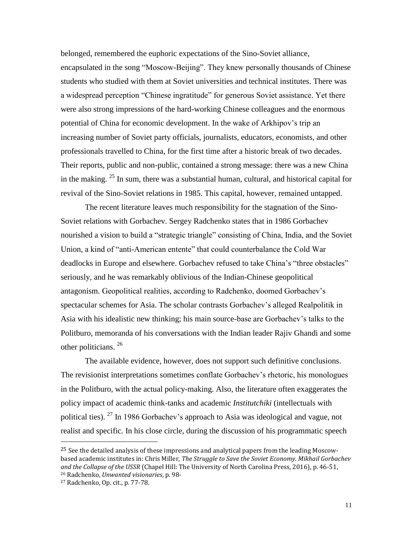belonged, remembered the euphoric expectations of the Sino-Soviet alliance, encapsulated in the song "Moscow-Beijing". They knew personally thousands of Chinese students who studied with them at Soviet universities and technical institutes. There was a widespread perception "Chinese ingratitude" for generous Soviet assistance. Yet there were also strong impressions of the hard-working Chinese colleagues and the enormous potential of China for economic development. In the wake of Arkhipov's trip an increasing number of Soviet party officials, journalists, educators, economists, and other professionals travelled to China, for the first time after a historic break of two decades. Their reports, public and non-public, contained a strong message: there was a new China in the making. <sup>25</sup> In sum, there was a substantial human, cultural, and historical capital for revival of the Sino-Soviet relations in 1985. This capital, however, remained untapped.

The recent literature leaves much responsibility for the stagnation of the Sino-Soviet relations with Gorbachev. Sergey Radchenko states that in 1986 Gorbachev nourished a vision to build a "strategic triangle" consisting of China, India, and the Soviet Union, a kind of "anti-American entente" that could counterbalance the Cold War deadlocks in Europe and elsewhere. Gorbachev refused to take China's "three obstacles" seriously, and he was remarkably oblivious of the Indian-Chinese geopolitical antagonism. Geopolitical realities, according to Radchenko, doomed Gorbachev's spectacular schemes for Asia. The scholar contrasts Gorbachev's alleged Realpolitik in Asia with his idealistic new thinking; his main source-base are Gorbachev's talks to the Politburo, memoranda of his conversations with the Indian leader Rajiv Ghandi and some other politicians.<sup>26</sup>

The available evidence, however, does not support such definitive conclusions. The revisionist interpretations sometimes conflate Gorbachev's rhetoric, his monologues in the Politburo, with the actual policy-making. Also, the literature often exaggerates the policy impact of academic think-tanks and academic *Institutchiki* (intellectuals with political ties). <sup>27</sup> In 1986 Gorbachev's approach to Asia was ideological and vague, not realist and specific. In his close circle, during the discussion of his programmatic speech

<sup>&</sup>lt;sup>25</sup> See the detailed analysis of these impressions and analytical papers from the leading Moscowbased academic institutes in: Chris Miller, *The Struggle to Save the Soviet Economy. Mikhail Gorbachev and the Collapse of the USSR* (Chapel Hill: The University of North Carolina Press, 2016), p. 46-51, <sup>26</sup> Radchenko, *Unwanted visionaries*, p. 98-

<sup>27</sup> Radchenko, Op. cit., p. 77-78.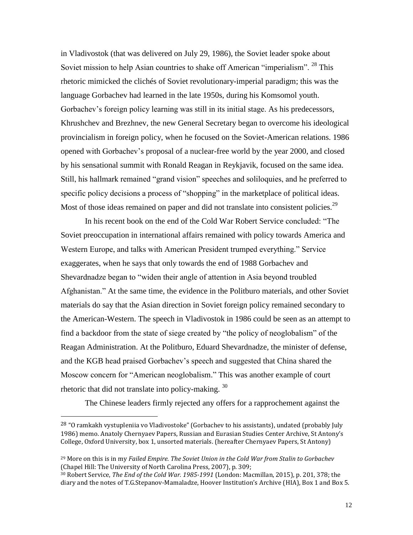in Vladivostok (that was delivered on July 29, 1986), the Soviet leader spoke about Soviet mission to help Asian countries to shake off American "imperialism". <sup>28</sup> This rhetoric mimicked the clichés of Soviet revolutionary-imperial paradigm; this was the language Gorbachev had learned in the late 1950s, during his Komsomol youth. Gorbachev's foreign policy learning was still in its initial stage. As his predecessors, Khrushchev and Brezhnev, the new General Secretary began to overcome his ideological provincialism in foreign policy, when he focused on the Soviet-American relations. 1986 opened with Gorbachev's proposal of a nuclear-free world by the year 2000, and closed by his sensational summit with Ronald Reagan in Reykjavik, focused on the same idea. Still, his hallmark remained "grand vision" speeches and soliloquies, and he preferred to specific policy decisions a process of "shopping" in the marketplace of political ideas. Most of those ideas remained on paper and did not translate into consistent policies.<sup>29</sup>

In his recent book on the end of the Cold War Robert Service concluded: "The Soviet preoccupation in international affairs remained with policy towards America and Western Europe, and talks with American President trumped everything." Service exaggerates, when he says that only towards the end of 1988 Gorbachev and Shevardnadze began to "widen their angle of attention in Asia beyond troubled Afghanistan." At the same time, the evidence in the Politburo materials, and other Soviet materials do say that the Asian direction in Soviet foreign policy remained secondary to the American-Western. The speech in Vladivostok in 1986 could be seen as an attempt to find a backdoor from the state of siege created by "the policy of neoglobalism" of the Reagan Administration. At the Politburo, Eduard Shevardnadze, the minister of defense, and the KGB head praised Gorbachev's speech and suggested that China shared the Moscow concern for "American neoglobalism." This was another example of court rhetoric that did not translate into policy-making. 30

The Chinese leaders firmly rejected any offers for a rapprochement against the

<sup>&</sup>lt;sup>28</sup> "O ramkakh vystupleniia vo Vladivostoke" (Gorbachev to his assistants), undated (probably July 1986) memo. Anatoly Chernyaev Papers, Russian and Eurasian Studies Center Archive, St Antony's College, Oxford University, box 1, unsorted materials. (hereafter Chernyaev Papers, St Antony)

<sup>29</sup> More on this is in my *Failed Empire. The Soviet Union in the Cold War from Stalin to Gorbachev* (Chapel Hill: The University of North Carolina Press, 2007), p. 309;

<sup>30</sup> Robert Service, *The End of the Cold War. 1985-1991* (London: Macmillan, 2015), p. 201, 378; the diary and the notes of T.G.Stepanov-Mamaladze, Hoover Institution's Archive (HIA), Box 1 and Box 5.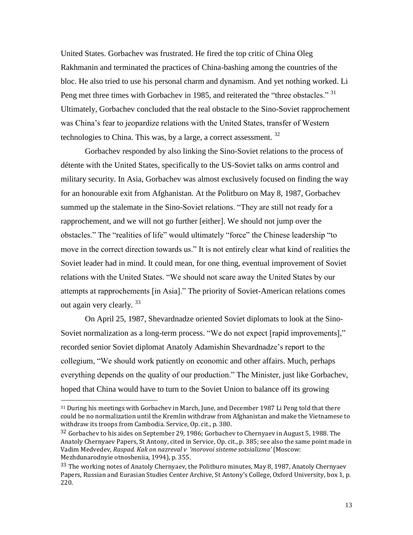United States. Gorbachev was frustrated. He fired the top critic of China Oleg Rakhmanin and terminated the practices of China-bashing among the countries of the bloc. He also tried to use his personal charm and dynamism. And yet nothing worked. Li Peng met three times with Gorbachev in 1985, and reiterated the "three obstacles." <sup>31</sup> Ultimately, Gorbachev concluded that the real obstacle to the Sino-Soviet rapprochement was China's fear to jeopardize relations with the United States, transfer of Western technologies to China. This was, by a large, a correct assessment. <sup>32</sup>

Gorbachev responded by also linking the Sino-Soviet relations to the process of détente with the United States, specifically to the US-Soviet talks on arms control and military security. In Asia, Gorbachev was almost exclusively focused on finding the way for an honourable exit from Afghanistan. At the Politburo on May 8, 1987, Gorbachev summed up the stalemate in the Sino-Soviet relations. "They are still not ready for a rapprochement, and we will not go further [either]. We should not jump over the obstacles." The "realities of life" would ultimately "force" the Chinese leadership "to move in the correct direction towards us." It is not entirely clear what kind of realities the Soviet leader had in mind. It could mean, for one thing, eventual improvement of Soviet relations with the United States. "We should not scare away the United States by our attempts at rapprochements [in Asia]." The priority of Soviet-American relations comes out again very clearly.<sup>33</sup>

On April 25, 1987, Shevardnadze oriented Soviet diplomats to look at the Sino-Soviet normalization as a long-term process. "We do not expect [rapid improvements]," recorded senior Soviet diplomat Anatoly Adamishin Shevardnadze's report to the collegium, "We should work patiently on economic and other affairs. Much, perhaps everything depends on the quality of our production." The Minister, just like Gorbachev, hoped that China would have to turn to the Soviet Union to balance off its growing

<sup>31</sup> During his meetings with Gorbachev in March, June, and December 1987 Li Peng told that there could be no normalization until the Kremlin withdraw from Afghanistan and make the Vietnamese to withdraw its troops from Cambodia. Service, Op. cit., p. 380.

<sup>&</sup>lt;sup>32</sup> Gorbachev to his aides on September 29, 1986; Gorbachev to Chernyaev in August 5, 1988. The Anatoly Chernyaev Papers, St Antony, cited in Service, Op. cit., p. 385; see also the same point made in Vadim Medvedev, *Raspad. Kak on nazreval v 'morovoi sisteme sotsializma'* (Moscow: Mezhdunarodnyie otnosheniia, 1994), p. 355.

<sup>&</sup>lt;sup>33</sup> The working notes of Anatoly Chernyaev, the Politburo minutes, May 8, 1987, Anatoly Chernyaev Papers, Russian and Eurasian Studies Center Archive, St Antony's College, Oxford University, box 1, p. 220.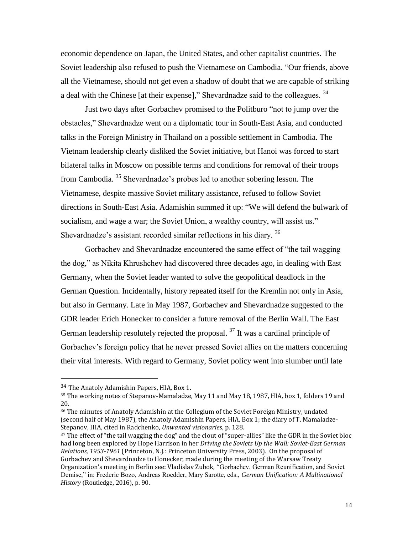economic dependence on Japan, the United States, and other capitalist countries. The Soviet leadership also refused to push the Vietnamese on Cambodia. "Our friends, above all the Vietnamese, should not get even a shadow of doubt that we are capable of striking a deal with the Chinese [at their expense]," Shevardnadze said to the colleagues. <sup>34</sup>

Just two days after Gorbachev promised to the Politburo "not to jump over the obstacles," Shevardnadze went on a diplomatic tour in South-East Asia, and conducted talks in the Foreign Ministry in Thailand on a possible settlement in Cambodia. The Vietnam leadership clearly disliked the Soviet initiative, but Hanoi was forced to start bilateral talks in Moscow on possible terms and conditions for removal of their troops from Cambodia.<sup>35</sup> Shevardnadze's probes led to another sobering lesson. The Vietnamese, despite massive Soviet military assistance, refused to follow Soviet directions in South-East Asia. Adamishin summed it up: "We will defend the bulwark of socialism, and wage a war; the Soviet Union, a wealthy country, will assist us." Shevardnadze's assistant recorded similar reflections in his diary.<sup>36</sup>

Gorbachev and Shevardnadze encountered the same effect of "the tail wagging the dog," as Nikita Khrushchev had discovered three decades ago, in dealing with East Germany, when the Soviet leader wanted to solve the geopolitical deadlock in the German Question. Incidentally, history repeated itself for the Kremlin not only in Asia, but also in Germany. Late in May 1987, Gorbachev and Shevardnadze suggested to the GDR leader Erich Honecker to consider a future removal of the Berlin Wall. The East German leadership resolutely rejected the proposal.  $37$  It was a cardinal principle of Gorbachev's foreign policy that he never pressed Soviet allies on the matters concerning their vital interests. With regard to Germany, Soviet policy went into slumber until late

l

<sup>36</sup> The minutes of Anatoly Adamishin at the Collegium of the Soviet Foreign Ministry, undated (second half of May 1987), the Anatoly Adamishin Papers, HIA, Box 1; the diary of T. Mamaladze-Stepanov, HIA, cited in Radchenko, *Unwanted visionaries*, p. 128.

<sup>34</sup> The Anatoly Adamishin Papers, HIA, Box 1.

<sup>35</sup> The working notes of Stepanov-Mamaladze, May 11 and May 18, 1987, HIA, box 1, folders 19 and 20.

<sup>&</sup>lt;sup>37</sup> The effect of "the tail wagging the dog" and the clout of "super-allies" like the GDR in the Soviet bloc had long been explored by Hope Harrison in her *Driving the Soviets Up the Wall: Soviet-East German Relations, 1953-1961* (Princeton, N.J.: Princeton University Press, 2003). On the proposal of Gorbachev and Shevardnadze to Honecker, made during the meeting of the Warsaw Treaty Organization's meeting in Berlin see: Vladislav Zubok, "Gorbachev, German Reunification, and Soviet Demise," in: Frederic Bozo, Andreas Roedder, Mary Sarotte, eds., *German Unification: A Multinational History* (Routledge, 2016), p. 90.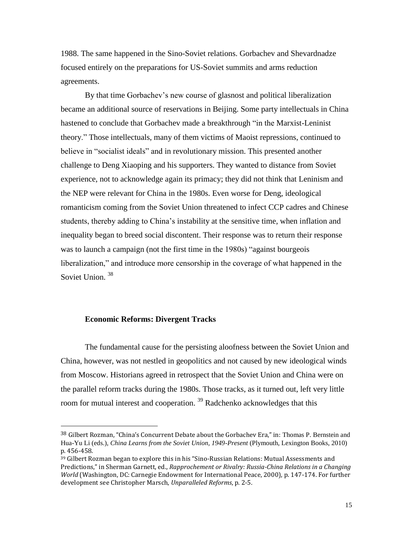1988. The same happened in the Sino-Soviet relations. Gorbachev and Shevardnadze focused entirely on the preparations for US-Soviet summits and arms reduction agreements.

By that time Gorbachev's new course of glasnost and political liberalization became an additional source of reservations in Beijing. Some party intellectuals in China hastened to conclude that Gorbachev made a breakthrough "in the Marxist-Leninist theory." Those intellectuals, many of them victims of Maoist repressions, continued to believe in "socialist ideals" and in revolutionary mission. This presented another challenge to Deng Xiaoping and his supporters. They wanted to distance from Soviet experience, not to acknowledge again its primacy; they did not think that Leninism and the NEP were relevant for China in the 1980s. Even worse for Deng, ideological romanticism coming from the Soviet Union threatened to infect CCP cadres and Chinese students, thereby adding to China's instability at the sensitive time, when inflation and inequality began to breed social discontent. Their response was to return their response was to launch a campaign (not the first time in the 1980s) "against bourgeois liberalization," and introduce more censorship in the coverage of what happened in the Soviet Union.<sup>38</sup>

#### **Economic Reforms: Divergent Tracks**

 $\overline{\phantom{a}}$ 

The fundamental cause for the persisting aloofness between the Soviet Union and China, however, was not nestled in geopolitics and not caused by new ideological winds from Moscow. Historians agreed in retrospect that the Soviet Union and China were on the parallel reform tracks during the 1980s. Those tracks, as it turned out, left very little room for mutual interest and cooperation.<sup>39</sup> Radchenko acknowledges that this

<sup>38</sup> Gilbert Rozman, "China's Concurrent Debate about the Gorbachev Era," in: Thomas P. Bernstein and Hua-Yu Li (eds.), *China Learns from the Soviet Union, 1949-Present* (Plymouth, Lexington Books, 2010) p. 456-458.

<sup>39</sup> Gilbert Rozman began to explore this in his "Sino-Russian Relations: Mutual Assessments and Predictions," in Sherman Garnett, ed., *Rapprochement or Rivalry: Russia-China Relations in a Changing World* (Washington, DC: Carnegie Endowment for International Peace, 2000), p. 147-174. For further development see Christopher Marsch, *Unparalleled Reforms*, p. 2-5.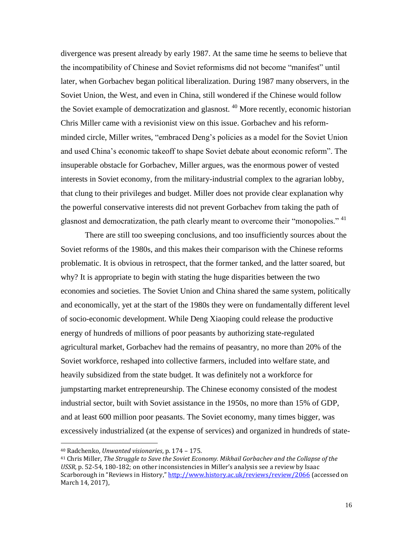divergence was present already by early 1987. At the same time he seems to believe that the incompatibility of Chinese and Soviet reformisms did not become "manifest" until later, when Gorbachev began political liberalization. During 1987 many observers, in the Soviet Union, the West, and even in China, still wondered if the Chinese would follow the Soviet example of democratization and glasnost.<sup>40</sup> More recently, economic historian Chris Miller came with a revisionist view on this issue. Gorbachev and his reformminded circle, Miller writes, "embraced Deng's policies as a model for the Soviet Union and used China's economic takeoff to shape Soviet debate about economic reform". The insuperable obstacle for Gorbachev, Miller argues, was the enormous power of vested interests in Soviet economy, from the military-industrial complex to the agrarian lobby, that clung to their privileges and budget. Miller does not provide clear explanation why the powerful conservative interests did not prevent Gorbachev from taking the path of glasnost and democratization, the path clearly meant to overcome their "monopolies." <sup>41</sup>

There are still too sweeping conclusions, and too insufficiently sources about the Soviet reforms of the 1980s, and this makes their comparison with the Chinese reforms problematic. It is obvious in retrospect, that the former tanked, and the latter soared, but why? It is appropriate to begin with stating the huge disparities between the two economies and societies. The Soviet Union and China shared the same system, politically and economically, yet at the start of the 1980s they were on fundamentally different level of socio-economic development. While Deng Xiaoping could release the productive energy of hundreds of millions of poor peasants by authorizing state-regulated agricultural market, Gorbachev had the remains of peasantry, no more than 20% of the Soviet workforce, reshaped into collective farmers, included into welfare state, and heavily subsidized from the state budget. It was definitely not a workforce for jumpstarting market entrepreneurship. The Chinese economy consisted of the modest industrial sector, built with Soviet assistance in the 1950s, no more than 15% of GDP, and at least 600 million poor peasants. The Soviet economy, many times bigger, was excessively industrialized (at the expense of services) and organized in hundreds of state-

l

<sup>40</sup> Radchenko, *Unwanted visionaries*, p. 174 – 175.

<sup>41</sup> Chris Miller, *The Struggle to Save the Soviet Economy. Mikhail Gorbachev and the Collapse of the USSR*, p. 52-54, 180-182; on other inconsistencies in Miller's analysis see a review by Isaac Scarborough in "Reviews in History," <http://www.history.ac.uk/reviews/review/2066> (accessed on March 14, 2017),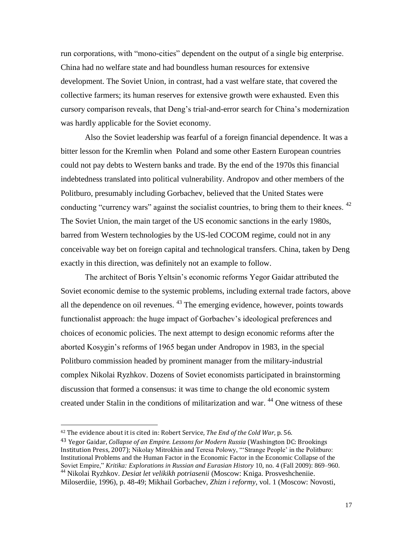run corporations, with "mono-cities" dependent on the output of a single big enterprise. China had no welfare state and had boundless human resources for extensive development. The Soviet Union, in contrast, had a vast welfare state, that covered the collective farmers; its human reserves for extensive growth were exhausted. Even this cursory comparison reveals, that Deng's trial-and-error search for China's modernization was hardly applicable for the Soviet economy.

Also the Soviet leadership was fearful of a foreign financial dependence. It was a bitter lesson for the Kremlin when Poland and some other Eastern European countries could not pay debts to Western banks and trade. By the end of the 1970s this financial indebtedness translated into political vulnerability. Andropov and other members of the Politburo, presumably including Gorbachev, believed that the United States were conducting "currency wars" against the socialist countries, to bring them to their knees. <sup>42</sup> The Soviet Union, the main target of the US economic sanctions in the early 1980s, barred from Western technologies by the US-led COCOM regime, could not in any conceivable way bet on foreign capital and technological transfers. China, taken by Deng exactly in this direction, was definitely not an example to follow.

The architect of Boris Yeltsin's economic reforms Yegor Gaidar attributed the Soviet economic demise to the systemic problems, including external trade factors, above all the dependence on oil revenues.  $43$  The emerging evidence, however, points towards functionalist approach: the huge impact of Gorbachev's ideological preferences and choices of economic policies. The next attempt to design economic reforms after the aborted Kosygin's reforms of 1965 began under Andropov in 1983, in the special Politburo commission headed by prominent manager from the military-industrial complex Nikolai Ryzhkov. Dozens of Soviet economists participated in brainstorming discussion that formed a consensus: it was time to change the old economic system created under Stalin in the conditions of militarization and war. <sup>44</sup> One witness of these

<sup>42</sup> The evidence about it is cited in: Robert Service, *The End of the Cold War*, p. 56.

<sup>43</sup> Yegor Gaidar, *Collapse of an Empire. Lessons for Modern Russia* (Washington DC: Brookings Institution Press, 2007); Nikolay Mitrokhin and Teresa Polowy, "'Strange People' in the Politburo: Institutional Problems and the Human Factor in the Economic Factor in the Economic Collapse of the Soviet Empire," *Kritika: Explorations in Russian and Eurasian History* 10, no. 4 (Fall 2009): 869–960. <sup>44</sup> Nikolai Ryzhkov. *Desiat let velikikh potriasenii* (Moscow: Kniga. Prosveshcheniie.

Miloserdiie, 1996), p. 48-49; Mikhail Gorbachev, *Zhizn i reformy*, vol. 1 (Moscow: Novosti,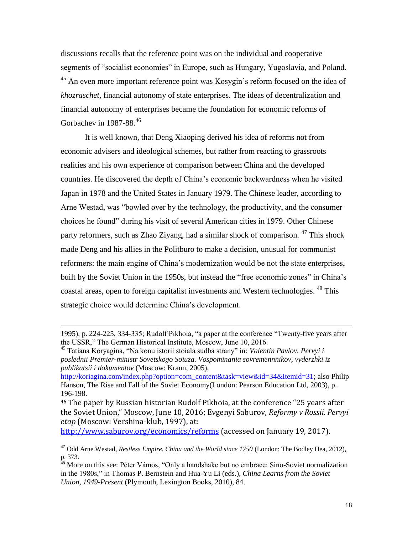discussions recalls that the reference point was on the individual and cooperative segments of "socialist economies" in Europe, such as Hungary, Yugoslavia, and Poland. <sup>45</sup> An even more important reference point was Kosygin's reform focused on the idea of *khozraschet*, financial autonomy of state enterprises. The ideas of decentralization and financial autonomy of enterprises became the foundation for economic reforms of Gorbachev in 1987-88.<sup>46</sup>

It is well known, that Deng Xiaoping derived his idea of reforms not from economic advisers and ideological schemes, but rather from reacting to grassroots realities and his own experience of comparison between China and the developed countries. He discovered the depth of China's economic backwardness when he visited Japan in 1978 and the United States in January 1979. The Chinese leader, according to Arne Westad, was "bowled over by the technology, the productivity, and the consumer choices he found" during his visit of several American cities in 1979. Other Chinese party reformers, such as Zhao Ziyang, had a similar shock of comparison. <sup>47</sup> This shock made Deng and his allies in the Politburo to make a decision, unusual for communist reformers: the main engine of China's modernization would be not the state enterprises, built by the Soviet Union in the 1950s, but instead the "free economic zones" in China's coastal areas, open to foreign capitalist investments and Western technologies. <sup>48</sup> This strategic choice would determine China's development.

 $\overline{\phantom{a}}$ 

[http://koriagina.com/index.php?option=com\\_content&task=view&id=34&Itemid=31;](http://koriagina.com/index.php?option=com_content&task=view&id=34&Itemid=31) also Philip Hanson, The Rise and Fall of the Soviet Economy(London: Pearson Education Ltd, 2003), p. 196-198.

<sup>46</sup> The paper by Russian historian Rudolf Pikhoia, at the conference "25 years after the Soviet Union," Moscow, June 10, 2016; Evgenyi Saburov, *Reformy v Rossii. Pervyi etap* (Moscow: Vershina-klub, 1997), at:

<http://www.saburov.org/economics/reforms> (accessed on January 19, 2017).

<sup>1995),</sup> p. 224-225, 334-335; Rudolf Pikhoia, "a paper at the conference "Twenty-five years after the USSR," The German Historical Institute, Moscow, June 10, 2016.

<sup>45</sup> Tatiana Koryagina, "Na konu istorii stoiala sudba strany" in: *Valentin Pavlov. Pervyi i poslednii Premier-ministr Sovetskogo Soiuza. Vospominania sovremennnikov, vyderzhki iz publikatsii i dokumentov* (Moscow: Kraun, 2005),

<sup>47</sup> Odd Arne Westad, *Restless Empire. China and the World since 1750* (London: The Bodley Hea, 2012), p. 373.

<sup>&</sup>lt;sup>48</sup> More on this see: Péter Vámos, "Only a handshake but no embrace: Sino-Soviet normalization in the 1980s," in Thomas P. Bernstein and Hua-Yu Li (eds.), *China Learns from the Soviet Union, 1949-Present* (Plymouth, Lexington Books, 2010), 84.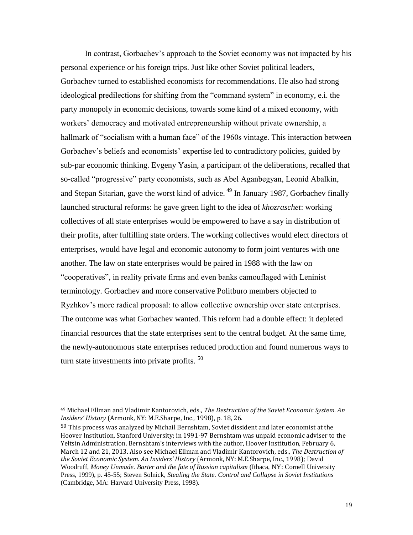In contrast, Gorbachev's approach to the Soviet economy was not impacted by his personal experience or his foreign trips. Just like other Soviet political leaders, Gorbachev turned to established economists for recommendations. He also had strong ideological predilections for shifting from the "command system" in economy, e.i. the party monopoly in economic decisions, towards some kind of a mixed economy, with workers' democracy and motivated entrepreneurship without private ownership, a hallmark of "socialism with a human face" of the 1960s vintage. This interaction between Gorbachev's beliefs and economists' expertise led to contradictory policies, guided by sub-par economic thinking. Evgeny Yasin, a participant of the deliberations, recalled that so-called "progressive" party economists, such as Abel Aganbegyan, Leonid Abalkin, and Stepan Sitarian, gave the worst kind of advice.<sup>49</sup> In January 1987, Gorbachev finally launched structural reforms: he gave green light to the idea of *khozraschet*: working collectives of all state enterprises would be empowered to have a say in distribution of their profits, after fulfilling state orders. The working collectives would elect directors of enterprises, would have legal and economic autonomy to form joint ventures with one another. The law on state enterprises would be paired in 1988 with the law on "cooperatives", in reality private firms and even banks camouflaged with Leninist terminology. Gorbachev and more conservative Politburo members objected to Ryzhkov's more radical proposal: to allow collective ownership over state enterprises. The outcome was what Gorbachev wanted. This reform had a double effect: it depleted financial resources that the state enterprises sent to the central budget. At the same time, the newly-autonomous state enterprises reduced production and found numerous ways to turn state investments into private profits.<sup>50</sup>

<sup>49</sup> Michael Ellman and Vladimir Kantorovich, eds., *The Destruction of the Soviet Economic System. An Insiders' History* (Armonk, NY: M.E.Sharpe, Inc., 1998), p. 18, 26.

<sup>&</sup>lt;sup>50</sup> This process was analyzed by Michail Bernshtam, Soviet dissident and later economist at the Hoover Institution, Stanford University; in 1991-97 Bernshtam was unpaid economic adviser to the Yeltsin Administration. Bernshtam's interviews with the author, Hoover Institution, February 6, March 12 and 21, 2013. Also see Michael Ellman and Vladimir Kantorovich, eds., *The Destruction of the Soviet Economic System. An Insiders' History* (Armonk, NY: M.E.Sharpe, Inc., 1998); David Woodruff, *Money Unmade. Barter and the fate of Russian capitalism* (Ithaca, NY: Cornell University Press, 1999), p. 45-55; Steven Solnick, *Stealing the State. Control and Collapse in Soviet Institutions* (Cambridge, MA: Harvard University Press, 1998).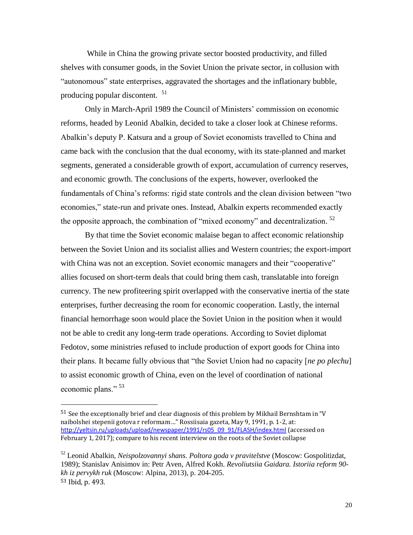While in China the growing private sector boosted productivity, and filled shelves with consumer goods, in the Soviet Union the private sector, in collusion with "autonomous" state enterprises, aggravated the shortages and the inflationary bubble, producing popular discontent. <sup>51</sup>

Only in March-April 1989 the Council of Ministers' commission on economic reforms, headed by Leonid Abalkin, decided to take a closer look at Chinese reforms. Abalkin's deputy P. Katsura and a group of Soviet economists travelled to China and came back with the conclusion that the dual economy, with its state-planned and market segments, generated a considerable growth of export, accumulation of currency reserves, and economic growth. The conclusions of the experts, however, overlooked the fundamentals of China's reforms: rigid state controls and the clean division between "two economies," state-run and private ones. Instead, Abalkin experts recommended exactly the opposite approach, the combination of "mixed economy" and decentralization.  $52$ 

By that time the Soviet economic malaise began to affect economic relationship between the Soviet Union and its socialist allies and Western countries; the export-import with China was not an exception. Soviet economic managers and their "cooperative" allies focused on short-term deals that could bring them cash, translatable into foreign currency. The new profiteering spirit overlapped with the conservative inertia of the state enterprises, further decreasing the room for economic cooperation. Lastly, the internal financial hemorrhage soon would place the Soviet Union in the position when it would not be able to credit any long-term trade operations. According to Soviet diplomat Fedotov, some ministries refused to include production of export goods for China into their plans. It became fully obvious that "the Soviet Union had no capacity [*ne po plechu*] to assist economic growth of China, even on the level of coordination of national economic plans." <sup>53</sup>

 $51$  See the exceptionally brief and clear diagnosis of this problem by Mikhail Bernshtam in "V naibolshei stepenii gotova r reformam…" Rossiisaia gazeta, May 9, 1991, p. 1-2, at: [http://yeltsin.ru/uploads/upload/newspaper/1991/rs05\\_09\\_91/FLASH/index.html](http://yeltsin.ru/uploads/upload/newspaper/1991/rs05_09_91/FLASH/index.html) (accessed on February 1, 2017); compare to his recent interview on the roots of the Soviet collapse

<sup>52</sup> Leonid Abalkin, *Neispolzovannyi shans. Poltora goda v pravitelstve* (Moscow: Gospolitizdat, 1989); Stanislav Anisimov in: Petr Aven, Alfred Kokh. *Revoliutsiia Gaidara. Istoriia reform 90 kh iz pervykh ruk* (Moscow: Alpina, 2013), p. 204-205. <sup>53</sup> Ibid, p. 493.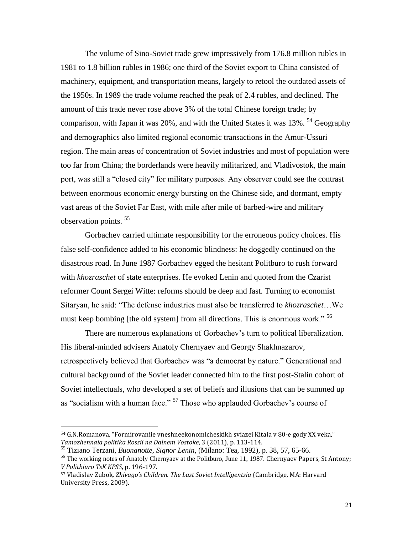The volume of Sino-Soviet trade grew impressively from 176.8 million rubles in 1981 to 1.8 billion rubles in 1986; one third of the Soviet export to China consisted of machinery, equipment, and transportation means, largely to retool the outdated assets of the 1950s. In 1989 the trade volume reached the peak of 2.4 rubles, and declined. The amount of this trade never rose above 3% of the total Chinese foreign trade; by comparison, with Japan it was 20%, and with the United States it was 13%. <sup>54</sup> Geography and demographics also limited regional economic transactions in the Amur-Ussuri region. The main areas of concentration of Soviet industries and most of population were too far from China; the borderlands were heavily militarized, and Vladivostok, the main port, was still a "closed city" for military purposes. Any observer could see the contrast between enormous economic energy bursting on the Chinese side, and dormant, empty vast areas of the Soviet Far East, with mile after mile of barbed-wire and military observation points. <sup>55</sup>

Gorbachev carried ultimate responsibility for the erroneous policy choices. His false self-confidence added to his economic blindness: he doggedly continued on the disastrous road. In June 1987 Gorbachev egged the hesitant Politburo to rush forward with *khozraschet* of state enterprises. He evoked Lenin and quoted from the Czarist reformer Count Sergei Witte: reforms should be deep and fast. Turning to economist Sitaryan, he said: "The defense industries must also be transferred to *khozraschet*…We must keep bombing [the old system] from all directions. This is enormous work."<sup>56</sup>

There are numerous explanations of Gorbachev's turn to political liberalization. His liberal-minded advisers Anatoly Chernyaev and Georgy Shakhnazarov, retrospectively believed that Gorbachev was "a democrat by nature." Generational and cultural background of the Soviet leader connected him to the first post-Stalin cohort of Soviet intellectuals, who developed a set of beliefs and illusions that can be summed up as "socialism with a human face." <sup>57</sup> Those who applauded Gorbachev's course of

l

<sup>54</sup> G.N.Romanova, "Formirovaniie vneshneekonomicheskikh sviazei Kitaia v 80-e gody XX veka," *Tamozhennaia politika Rossii na Dalnem Vostoke*, 3 (2011), p. 113-114.

<sup>55</sup> Tiziano Terzani, *Buonanotte, Signor Lenin*, (Milano: Tea, 1992), p. 38, 57, 65-66.

<sup>&</sup>lt;sup>56</sup> The working notes of Anatoly Chernyaev at the Politburo, June 11, 1987. Chernyaev Papers, St Antony; *V Politbiuro TsK KPSS*, p. 196-197.

<sup>57</sup> Vladislav Zubok, *Zhivago's Children. The Last Soviet Intelligentsia* (Cambridge, MA: Harvard University Press, 2009).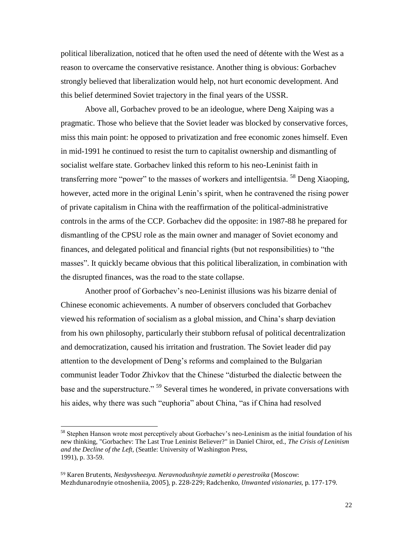political liberalization, noticed that he often used the need of détente with the West as a reason to overcame the conservative resistance. Another thing is obvious: Gorbachev strongly believed that liberalization would help, not hurt economic development. And this belief determined Soviet trajectory in the final years of the USSR.

Above all, Gorbachev proved to be an ideologue, where Deng Xaiping was a pragmatic. Those who believe that the Soviet leader was blocked by conservative forces, miss this main point: he opposed to privatization and free economic zones himself. Even in mid-1991 he continued to resist the turn to capitalist ownership and dismantling of socialist welfare state. Gorbachev linked this reform to his neo-Leninist faith in transferring more "power" to the masses of workers and intelligentsia. <sup>58</sup> Deng Xiaoping, however, acted more in the original Lenin's spirit, when he contravened the rising power of private capitalism in China with the reaffirmation of the political-administrative controls in the arms of the CCP. Gorbachev did the opposite: in 1987-88 he prepared for dismantling of the CPSU role as the main owner and manager of Soviet economy and finances, and delegated political and financial rights (but not responsibilities) to "the masses". It quickly became obvious that this political liberalization, in combination with the disrupted finances, was the road to the state collapse.

Another proof of Gorbachev's neo-Leninist illusions was his bizarre denial of Chinese economic achievements. A number of observers concluded that Gorbachev viewed his reformation of socialism as a global mission, and China's sharp deviation from his own philosophy, particularly their stubborn refusal of political decentralization and democratization, caused his irritation and frustration. The Soviet leader did pay attention to the development of Deng's reforms and complained to the Bulgarian communist leader Todor Zhivkov that the Chinese "disturbed the dialectic between the base and the superstructure." <sup>59</sup> Several times he wondered, in private conversations with his aides, why there was such "euphoria" about China, "as if China had resolved

<sup>&</sup>lt;sup>58</sup> Stephen Hanson wrote most perceptively about Gorbachev's neo-Leninism as the initial foundation of his new thinking, "Gorbachev: The Last True Leninist Believer?" in Daniel Chirot, ed., *The Crisis of Leninism and the Decline of the Left,* (Seattle: University of Washington Press, 1991), p. 33-59.

<sup>59</sup> Karen Brutents, *Nesbyvsheesya. Neravnodushnyie zametki o perestroika* (Moscow: Mezhdunarodnyie otnosheniia, 2005)*,* p. 228-229; Radchenko, *Unwanted visionaries*, p. 177-179.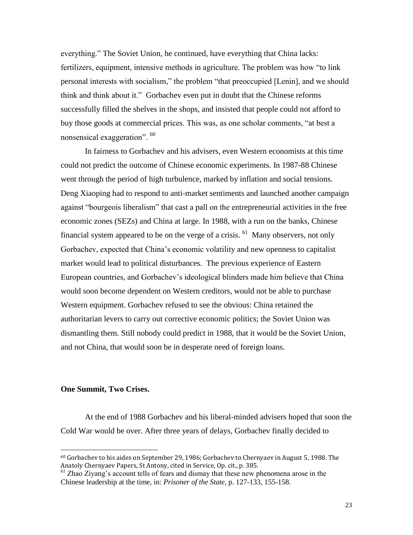everything." The Soviet Union, he continued, have everything that China lacks: fertilizers, equipment, intensive methods in agriculture. The problem was how "to link personal interests with socialism," the problem "that preoccupied [Lenin], and we should think and think about it." Gorbachev even put in doubt that the Chinese reforms successfully filled the shelves in the shops, and insisted that people could not afford to buy those goods at commercial prices. This was, as one scholar comments, "at best a nonsensical exaggeration". <sup>60</sup>

In fairness to Gorbachev and his advisers, even Western economists at this time could not predict the outcome of Chinese economic experiments. In 1987-88 Chinese went through the period of high turbulence, marked by inflation and social tensions. Deng Xiaoping had to respond to anti-market sentiments and launched another campaign against "bourgeois liberalism" that cast a pall on the entrepreneurial activities in the free economic zones (SEZs) and China at large. In 1988, with a run on the banks, Chinese financial system appeared to be on the verge of a crisis.  $^{61}$  Many observers, not only Gorbachev, expected that China's economic volatility and new openness to capitalist market would lead to political disturbances. The previous experience of Eastern European countries, and Gorbachev's ideological blinders made him believe that China would soon become dependent on Western creditors, would not be able to purchase Western equipment. Gorbachev refused to see the obvious: China retained the authoritarian levers to carry out corrective economic politics; the Soviet Union was dismantling them. Still nobody could predict in 1988, that it would be the Soviet Union, and not China, that would soon be in desperate need of foreign loans.

#### **One Summit, Two Crises.**

 $\overline{\phantom{a}}$ 

At the end of 1988 Gorbachev and his liberal-minded advisers hoped that soon the Cold War would be over. After three years of delays, Gorbachev finally decided to

<sup>60</sup> Gorbachev to his aides on September 29, 1986; Gorbachev to Chernyaev in August 5, 1988. The Anatoly Chernyaev Papers, St Antony, cited in Service, Op. cit., p. 385.

<sup>61</sup> Zhao Ziyang's account tells of fears and dismay that these new phenomena arose in the Chinese leadership at the time, in: *Prisoner of the State*, p. 127-133, 155-158.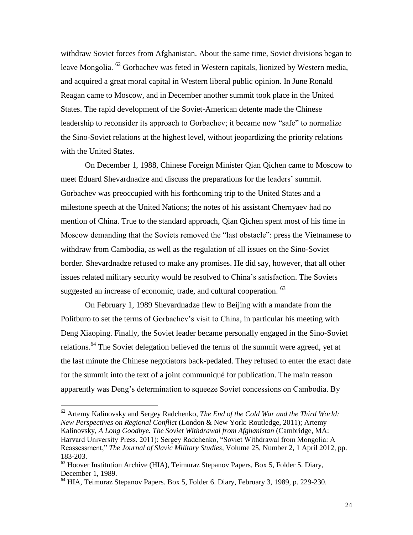withdraw Soviet forces from Afghanistan. About the same time, Soviet divisions began to leave Mongolia. <sup>62</sup> Gorbachev was feted in Western capitals, lionized by Western media, and acquired a great moral capital in Western liberal public opinion. In June Ronald Reagan came to Moscow, and in December another summit took place in the United States. The rapid development of the Soviet-American detente made the Chinese leadership to reconsider its approach to Gorbachev; it became now "safe" to normalize the Sino-Soviet relations at the highest level, without jeopardizing the priority relations with the United States.

On December 1, 1988, Chinese Foreign Minister Qian Qichen came to Moscow to meet Eduard Shevardnadze and discuss the preparations for the leaders' summit. Gorbachev was preoccupied with his forthcoming trip to the United States and a milestone speech at the United Nations; the notes of his assistant Chernyaev had no mention of China. True to the standard approach, Qian Qichen spent most of his time in Moscow demanding that the Soviets removed the "last obstacle": press the Vietnamese to withdraw from Cambodia, as well as the regulation of all issues on the Sino-Soviet border. Shevardnadze refused to make any promises. He did say, however, that all other issues related military security would be resolved to China's satisfaction. The Soviets suggested an increase of economic, trade, and cultural cooperation. <sup>63</sup>

On February 1, 1989 Shevardnadze flew to Beijing with a mandate from the Politburo to set the terms of Gorbachev's visit to China, in particular his meeting with Deng Xiaoping. Finally, the Soviet leader became personally engaged in the Sino-Soviet relations.<sup>64</sup> The Soviet delegation believed the terms of the summit were agreed, yet at the last minute the Chinese negotiators back-pedaled. They refused to enter the exact date for the summit into the text of a joint communiqué for publication. The main reason apparently was Deng's determination to squeeze Soviet concessions on Cambodia. By

<sup>62</sup> Artemy Kalinovsky and Sergey Radchenko, *The End of the Cold War and the Third World: New Perspectives on Regional Conflict* (London & New York: Routledge, 2011); Artemy Kalinovsky, *A Long Goodbye. The Soviet Withdrawal from Afghanistan* (Cambridge, MA: Harvard University Press, 2011); Sergey Radchenko, "Soviet Withdrawal from Mongolia: A Reassessment," *[The Journal of Slavic Military Studies](http://www.ingentaconnect.com/content/routledg/fslv;jsessionid=arcnltq035a8h.victoria)*, Volume 25, Number 2, 1 April 2012, pp. 183-203.

 $63$  Hoover Institution Archive (HIA), Teimuraz Stepanov Papers, Box 5, Folder 5. Diary, December 1, 1989.

<sup>&</sup>lt;sup>64</sup> HIA, Teimuraz Stepanov Papers. Box 5, Folder 6. Diary, February 3, 1989, p. 229-230.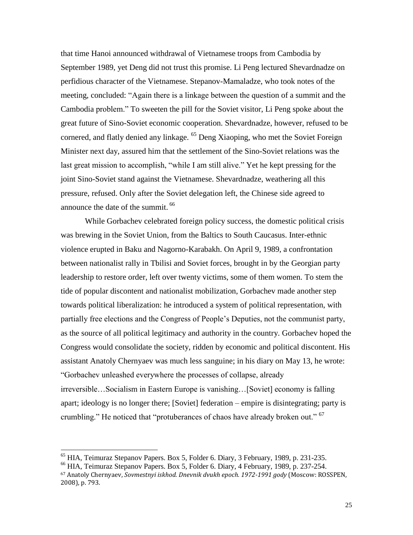that time Hanoi announced withdrawal of Vietnamese troops from Cambodia by September 1989, yet Deng did not trust this promise. Li Peng lectured Shevardnadze on perfidious character of the Vietnamese. Stepanov-Mamaladze, who took notes of the meeting, concluded: "Again there is a linkage between the question of a summit and the Cambodia problem." To sweeten the pill for the Soviet visitor, Li Peng spoke about the great future of Sino-Soviet economic cooperation. Shevardnadze, however, refused to be cornered, and flatly denied any linkage. <sup>65</sup> Deng Xiaoping, who met the Soviet Foreign Minister next day, assured him that the settlement of the Sino-Soviet relations was the last great mission to accomplish, "while I am still alive." Yet he kept pressing for the joint Sino-Soviet stand against the Vietnamese. Shevardnadze, weathering all this pressure, refused. Only after the Soviet delegation left, the Chinese side agreed to announce the date of the summit. <sup>66</sup>

While Gorbachev celebrated foreign policy success, the domestic political crisis was brewing in the Soviet Union, from the Baltics to South Caucasus. Inter-ethnic violence erupted in Baku and Nagorno-Karabakh. On April 9, 1989, a confrontation between nationalist rally in Tbilisi and Soviet forces, brought in by the Georgian party leadership to restore order, left over twenty victims, some of them women. To stem the tide of popular discontent and nationalist mobilization, Gorbachev made another step towards political liberalization: he introduced a system of political representation, with partially free elections and the Congress of People's Deputies, not the communist party, as the source of all political legitimacy and authority in the country. Gorbachev hoped the Congress would consolidate the society, ridden by economic and political discontent. His assistant Anatoly Chernyaev was much less sanguine; in his diary on May 13, he wrote: "Gorbachev unleashed everywhere the processes of collapse, already irreversible…Socialism in Eastern Europe is vanishing…[Soviet] economy is falling apart; ideology is no longer there; [Soviet] federation – empire is disintegrating; party is crumbling." He noticed that "protuberances of chaos have already broken out." <sup>67</sup>

 $^{65}$  HIA, Teimuraz Stepanov Papers. Box 5, Folder 6. Diary, 3 February, 1989, p. 231-235.

<sup>66</sup> HIA, Teimuraz Stepanov Papers. Box 5, Folder 6. Diary, 4 February, 1989, p. 237-254.

<sup>67</sup> Anatoly Chernyaev, *Sovmestnyi iskhod. Dnevnik dvukh epoch. 1972-1991 gody* (Moscow: ROSSPEN, 2008), p. 793.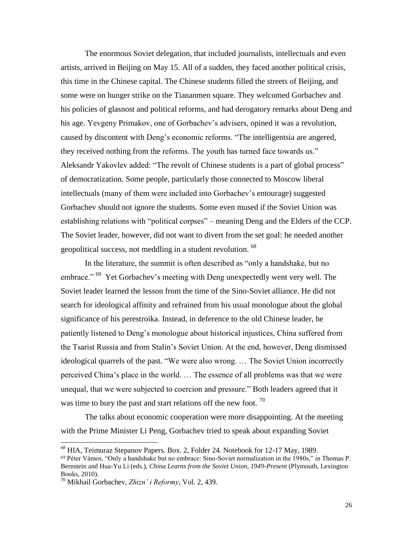The enormous Soviet delegation, that included journalists, intellectuals and even artists, arrived in Beijing on May 15. All of a sudden, they faced another political crisis, this time in the Chinese capital. The Chinese students filled the streets of Beijing, and some were on hunger strike on the Tiananmen square. They welcomed Gorbachev and his policies of glasnost and political reforms, and had derogatory remarks about Deng and his age. Yevgeny Primakov, one of Gorbachev's advisers, opined it was a revolution, caused by discontent with Deng's economic reforms. "The intelligentsia are angered, they received nothing from the reforms. The youth has turned face towards us." Aleksandr Yakovlev added: "The revolt of Chinese students is a part of global process" of democratization. Some people, particularly those connected to Moscow liberal intellectuals (many of them were included into Gorbachev's entourage) suggested Gorbachev should not ignore the students. Some even mused if the Soviet Union was establishing relations with "political corpses" – meaning Deng and the Elders of the CCP. The Soviet leader, however, did not want to divert from the set goal: he needed another geopolitical success, not meddling in a student revolution. <sup>68</sup>

In the literature, the summit is often described as "only a handshake, but no embrace." <sup>69</sup> Yet Gorbachev's meeting with Deng unexpectedly went very well. The Soviet leader learned the lesson from the time of the Sino-Soviet alliance. He did not search for ideological affinity and refrained from his usual monologue about the global significance of his perestroika. Instead, in deference to the old Chinese leader, he patiently listened to Deng's monologue about historical injustices, China suffered from the Tsarist Russia and from Stalin's Soviet Union. At the end, however, Deng dismissed ideological quarrels of the past. "We were also wrong. … The Soviet Union incorrectly perceived China's place in the world. … The essence of all problems was that we were unequal, that we were subjected to coercion and pressure." Both leaders agreed that it was time to bury the past and start relations off the new foot.  $70$ 

The talks about economic cooperation were more disappointing. At the meeting with the Prime Minister Li Peng, Gorbachev tried to speak about expanding Soviet

<sup>&</sup>lt;sup>68</sup> HIA, Teimuraz Stepanov Papers. Box. 2, Folder 24. Notebook for 12-17 May, 1989.

<sup>69</sup> Péter Vámos, "Only a handshake but no embrace: Sino-Soviet normalization in the 1980s," in Thomas P. Bernstein and Hua-Yu Li (eds.), *China Learns from the Soviet Union, 1949-Present* (Plymouth, Lexington Books, 2010).

<sup>70</sup> Mikhail Gorbachev, *Zhizn' i Reformy*, Vol. 2, 439.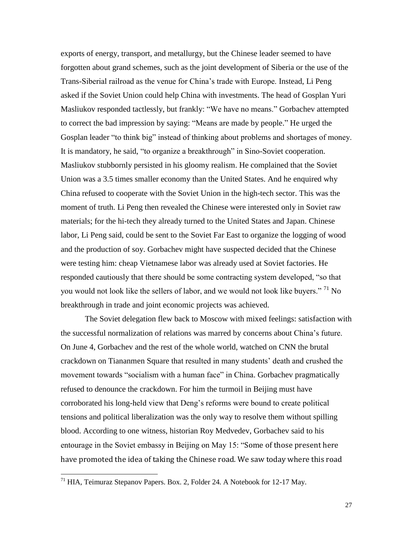exports of energy, transport, and metallurgy, but the Chinese leader seemed to have forgotten about grand schemes, such as the joint development of Siberia or the use of the Trans-Siberial railroad as the venue for China's trade with Europe. Instead, Li Peng asked if the Soviet Union could help China with investments. The head of Gosplan Yuri Masliukov responded tactlessly, but frankly: "We have no means." Gorbachev attempted to correct the bad impression by saying: "Means are made by people." He urged the Gosplan leader "to think big" instead of thinking about problems and shortages of money. It is mandatory, he said, "to organize a breakthrough" in Sino-Soviet cooperation. Masliukov stubbornly persisted in his gloomy realism. He complained that the Soviet Union was a 3.5 times smaller economy than the United States. And he enquired why China refused to cooperate with the Soviet Union in the high-tech sector. This was the moment of truth. Li Peng then revealed the Chinese were interested only in Soviet raw materials; for the hi-tech they already turned to the United States and Japan. Chinese labor, Li Peng said, could be sent to the Soviet Far East to organize the logging of wood and the production of soy. Gorbachev might have suspected decided that the Chinese were testing him: cheap Vietnamese labor was already used at Soviet factories. He responded cautiously that there should be some contracting system developed, "so that you would not look like the sellers of labor, and we would not look like buyers."<sup>71</sup> No breakthrough in trade and joint economic projects was achieved.

The Soviet delegation flew back to Moscow with mixed feelings: satisfaction with the successful normalization of relations was marred by concerns about China's future. On June 4, Gorbachev and the rest of the whole world, watched on CNN the brutal crackdown on Tiananmen Square that resulted in many students' death and crushed the movement towards "socialism with a human face" in China. Gorbachev pragmatically refused to denounce the crackdown. For him the turmoil in Beijing must have corroborated his long-held view that Deng's reforms were bound to create political tensions and political liberalization was the only way to resolve them without spilling blood. According to one witness, historian Roy Medvedev, Gorbachev said to his entourage in the Soviet embassy in Beijing on May 15: "Some of those present here have promoted the idea of taking the Chinese road. We saw today where this road

<sup>&</sup>lt;sup>71</sup> HIA, Teimuraz Stepanov Papers. Box. 2, Folder 24. A Notebook for 12-17 May.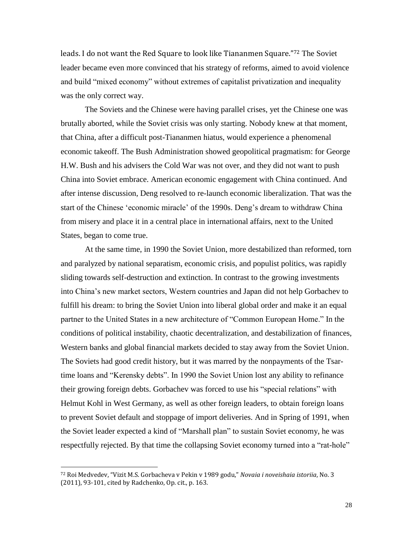leads. I do not want the Red Square to look like Tiananmen Square."<sup>72</sup> The Soviet leader became even more convinced that his strategy of reforms, aimed to avoid violence and build "mixed economy" without extremes of capitalist privatization and inequality was the only correct way.

The Soviets and the Chinese were having parallel crises, yet the Chinese one was brutally aborted, while the Soviet crisis was only starting. Nobody knew at that moment, that China, after a difficult post-Tiananmen hiatus, would experience a phenomenal economic takeoff. The Bush Administration showed geopolitical pragmatism: for George H.W. Bush and his advisers the Cold War was not over, and they did not want to push China into Soviet embrace. American economic engagement with China continued. And after intense discussion, Deng resolved to re-launch economic liberalization. That was the start of the Chinese 'economic miracle' of the 1990s. Deng's dream to withdraw China from misery and place it in a central place in international affairs, next to the United States, began to come true.

At the same time, in 1990 the Soviet Union, more destabilized than reformed, torn and paralyzed by national separatism, economic crisis, and populist politics, was rapidly sliding towards self-destruction and extinction. In contrast to the growing investments into China's new market sectors, Western countries and Japan did not help Gorbachev to fulfill his dream: to bring the Soviet Union into liberal global order and make it an equal partner to the United States in a new architecture of "Common European Home." In the conditions of political instability, chaotic decentralization, and destabilization of finances, Western banks and global financial markets decided to stay away from the Soviet Union. The Soviets had good credit history, but it was marred by the nonpayments of the Tsartime loans and "Kerensky debts". In 1990 the Soviet Union lost any ability to refinance their growing foreign debts. Gorbachev was forced to use his "special relations" with Helmut Kohl in West Germany, as well as other foreign leaders, to obtain foreign loans to prevent Soviet default and stoppage of import deliveries. And in Spring of 1991, when the Soviet leader expected a kind of "Marshall plan" to sustain Soviet economy, he was respectfully rejected. By that time the collapsing Soviet economy turned into a "rat-hole"

<sup>72</sup> Roi Medvedev, "Vizit M.S. Gorbacheva v Pekin v 1989 godu," *Novaia i noveishaia istoriia*, No. 3 (2011), 93-101, cited by Radchenko, Op. cit., p. 163.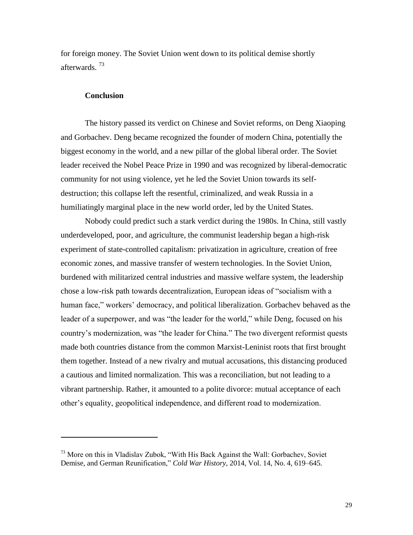for foreign money. The Soviet Union went down to its political demise shortly afterwards.<sup>73</sup>

#### **Conclusion**

 $\overline{a}$ 

The history passed its verdict on Chinese and Soviet reforms, on Deng Xiaoping and Gorbachev. Deng became recognized the founder of modern China, potentially the biggest economy in the world, and a new pillar of the global liberal order. The Soviet leader received the Nobel Peace Prize in 1990 and was recognized by liberal-democratic community for not using violence, yet he led the Soviet Union towards its selfdestruction; this collapse left the resentful, criminalized, and weak Russia in a humiliatingly marginal place in the new world order, led by the United States.

Nobody could predict such a stark verdict during the 1980s. In China, still vastly underdeveloped, poor, and agriculture, the communist leadership began a high-risk experiment of state-controlled capitalism: privatization in agriculture, creation of free economic zones, and massive transfer of western technologies. In the Soviet Union, burdened with militarized central industries and massive welfare system, the leadership chose a low-risk path towards decentralization, European ideas of "socialism with a human face," workers' democracy, and political liberalization. Gorbachev behaved as the leader of a superpower, and was "the leader for the world," while Deng, focused on his country's modernization, was "the leader for China." The two divergent reformist quests made both countries distance from the common Marxist-Leninist roots that first brought them together. Instead of a new rivalry and mutual accusations, this distancing produced a cautious and limited normalization. This was a reconciliation, but not leading to a vibrant partnership. Rather, it amounted to a polite divorce: mutual acceptance of each other's equality, geopolitical independence, and different road to modernization.

 $^{73}$  More on this in Vladislav Zubok, "With His Back Against the Wall: Gorbachev, Soviet Demise, and German Reunification," *Cold War History*, 2014, Vol. 14, No. 4, 619–645.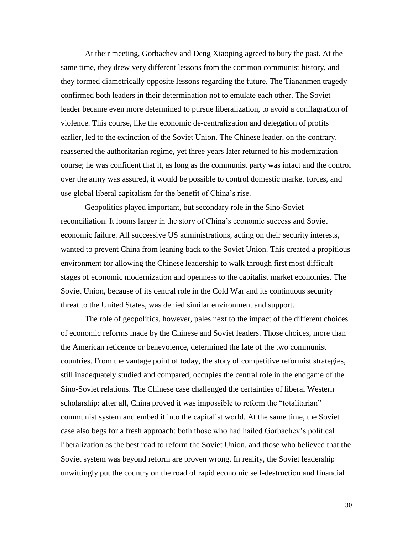At their meeting, Gorbachev and Deng Xiaoping agreed to bury the past. At the same time, they drew very different lessons from the common communist history, and they formed diametrically opposite lessons regarding the future. The Tiananmen tragedy confirmed both leaders in their determination not to emulate each other. The Soviet leader became even more determined to pursue liberalization, to avoid a conflagration of violence. This course, like the economic de-centralization and delegation of profits earlier, led to the extinction of the Soviet Union. The Chinese leader, on the contrary, reasserted the authoritarian regime, yet three years later returned to his modernization course; he was confident that it, as long as the communist party was intact and the control over the army was assured, it would be possible to control domestic market forces, and use global liberal capitalism for the benefit of China's rise.

Geopolitics played important, but secondary role in the Sino-Soviet reconciliation. It looms larger in the story of China's economic success and Soviet economic failure. All successive US administrations, acting on their security interests, wanted to prevent China from leaning back to the Soviet Union. This created a propitious environment for allowing the Chinese leadership to walk through first most difficult stages of economic modernization and openness to the capitalist market economies. The Soviet Union, because of its central role in the Cold War and its continuous security threat to the United States, was denied similar environment and support.

The role of geopolitics, however, pales next to the impact of the different choices of economic reforms made by the Chinese and Soviet leaders. Those choices, more than the American reticence or benevolence, determined the fate of the two communist countries. From the vantage point of today, the story of competitive reformist strategies, still inadequately studied and compared, occupies the central role in the endgame of the Sino-Soviet relations. The Chinese case challenged the certainties of liberal Western scholarship: after all, China proved it was impossible to reform the "totalitarian" communist system and embed it into the capitalist world. At the same time, the Soviet case also begs for a fresh approach: both those who had hailed Gorbachev's political liberalization as the best road to reform the Soviet Union, and those who believed that the Soviet system was beyond reform are proven wrong. In reality, the Soviet leadership unwittingly put the country on the road of rapid economic self-destruction and financial